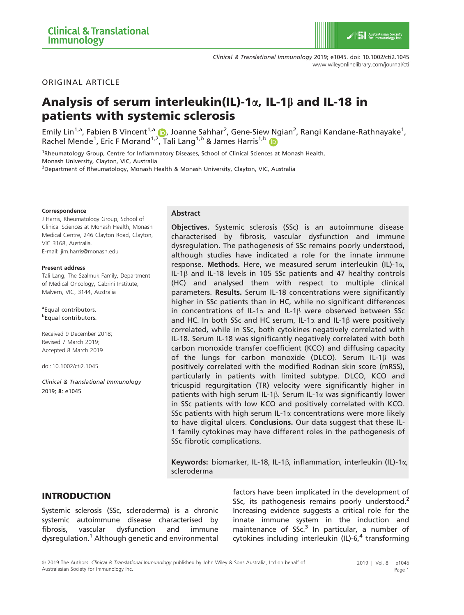ORIGINAL ARTICLE

# Analysis of serum interleukin(IL)-1 $\alpha$ , IL-1 $\beta$  and IL-18 in patients with systemic sclerosis

Emily Lin<sup>1,[a](https://orcid.org/0000-0001-7220-0800)</sup>, Fabien B Vincent<sup>1,a</sup> (D, Joanne Sahhar<sup>2</sup>, Gene-Siew Ngian<sup>2</sup>, Rangi Kandane-Rathnayake<sup>1</sup>, Rachel Mende<sup>1</sup>, Eric F Morand<sup>1,[2](https://orcid.org/0000-0001-7220-0800)</sup>, Tali Lang<sup>1,[b](https://orcid.org/0000-0002-5634-9637)</sup> & James Harris<sup>1,b</sup>

<sup>1</sup>Rheumatology Group, Centre for Inflammatory Diseases, School of Clinical Sciences at Monash Health, Monash University, Clayton, VIC, Australia

<sup>2</sup>Department of Rheumatology, Monash Health & Monash University, Clayton, VIC, Australia

#### **Correspondence**

J Harris, Rheumatology Group, School of Clinical Sciences at Monash Health, Monash Medical Centre, 246 Clayton Road, Clayton, VIC 3168, Australia. E-mail: [jim.harris@monash.edu](mailto:)

#### Present address

Tali Lang, The Szalmuk Family, Department of Medical Oncology, Cabrini Institute, Malvern, VIC, 3144, Australia

<sup>a</sup> Equal contributors. **b**Equal contributors.

Received 9 December 2018; Revised 7 March 2019; Accepted 8 March 2019

doi: 10.1002/cti2.1045

Clinical & Translational Immunology 2019; 8: e1045

#### Abstract

Objectives. Systemic sclerosis (SSc) is an autoimmune disease characterised by fibrosis, vascular dysfunction and immune dysregulation. The pathogenesis of SSc remains poorly understood, although studies have indicated a role for the innate immune response. Methods. Here, we measured serum interleukin (IL)-1 $\alpha$ , IL-1 $\beta$  and IL-18 levels in 105 SSc patients and 47 healthy controls (HC) and analysed them with respect to multiple clinical parameters. Results. Serum IL-18 concentrations were significantly higher in SSc patients than in HC, while no significant differences in concentrations of IL-1 $\alpha$  and IL-1 $\beta$  were observed between SSc and HC. In both SSc and HC serum, IL-1 $\alpha$  and IL-1 $\beta$  were positively correlated, while in SSc, both cytokines negatively correlated with IL-18. Serum IL-18 was significantly negatively correlated with both carbon monoxide transfer coefficient (KCO) and diffusing capacity of the lungs for carbon monoxide (DLCO). Serum IL-1 $\beta$  was positively correlated with the modified Rodnan skin score (mRSS), particularly in patients with limited subtype. DLCO, KCO and tricuspid regurgitation (TR) velocity were significantly higher in patients with high serum IL-1 $\beta$ . Serum IL-1 $\alpha$  was significantly lower in SSc patients with low KCO and positively correlated with KCO. SSc patients with high serum IL-1 $\alpha$  concentrations were more likely to have digital ulcers. Conclusions. Our data suggest that these IL-1 family cytokines may have different roles in the pathogenesis of SSc fibrotic complications.

Keywords: biomarker, IL-18, IL-1 $\beta$ , inflammation, interleukin (IL)-1 $\alpha$ , scleroderma

# INTRODUCTION

Systemic sclerosis (SSc, scleroderma) is a chronic systemic autoimmune disease characterised by fibrosis, vascular dysfunction and immune dysregulation.<sup>1</sup> Although genetic and environmental factors have been implicated in the development of SSc, its pathogenesis remains poorly understood.<sup>2</sup> Increasing evidence suggests a critical role for the innate immune system in the induction and maintenance of  $SSc<sup>3</sup>$  In particular, a number of cytokines including interleukin (IL)-6, $4$  transforming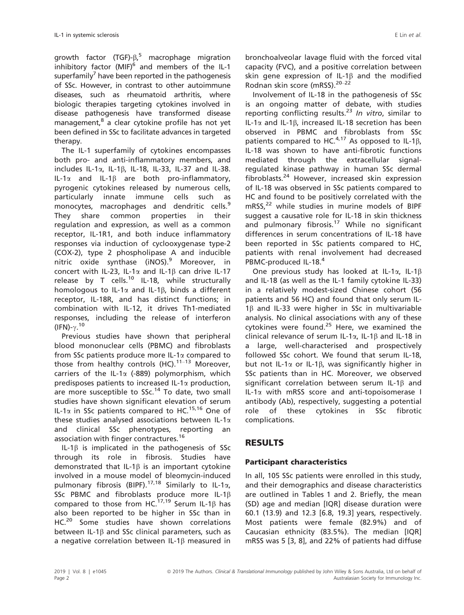growth factor (TGF)- $\beta$ ,<sup>5</sup> macrophage migration inhibitory factor  $(MIF)^6$  and members of the IL-1 superfamily<sup>7</sup> have been reported in the pathogenesis of SSc. However, in contrast to other autoimmune diseases, such as rheumatoid arthritis, where biologic therapies targeting cytokines involved in disease pathogenesis have transformed disease management,<sup>8</sup> a clear cytokine profile has not yet been defined in SSc to facilitate advances in targeted therapy.

The IL-1 superfamily of cytokines encompasses both pro- and anti-inflammatory members, and includes IL-1 $\alpha$ , IL-1 $\beta$ , IL-18, IL-33, IL-37 and IL-38. IL-1 $\alpha$  and IL-1 $\beta$  are both pro-inflammatory, pyrogenic cytokines released by numerous cells, particularly innate immune cells such as monocytes, macrophages and dendritic cells.<sup>9</sup> They share common properties in their regulation and expression, as well as a common receptor, IL-1R1, and both induce inflammatory responses via induction of cyclooxygenase type-2 (COX-2), type 2 phospholipase A and inducible nitric oxide synthase (iNOS).<sup>9</sup> Moreover, in concert with IL-23, IL-1 $\alpha$  and IL-1 $\beta$  can drive IL-17 release by T cells.<sup>10</sup> IL-18, while structurally homologous to IL-1 $\alpha$  and IL-1 $\beta$ , binds a different receptor, IL-18R, and has distinct functions; in combination with IL-12, it drives Th1-mediated responses, including the release of interferon (IFN)- $\gamma$ .<sup>10</sup>

Previous studies have shown that peripheral blood mononuclear cells (PBMC) and fibroblasts from SSc patients produce more IL-1 $\alpha$  compared to those from healthy controls  $(HC)$ .<sup>11-13</sup> Moreover, carriers of the IL-1 $\alpha$  (-889) polymorphism, which predisposes patients to increased IL-1 $\alpha$  production, are more susceptible to  $S_1^1$  To date, two small studies have shown significant elevation of serum IL-1 $\alpha$  in SSc patients compared to HC.<sup>15,16</sup> One of these studies analysed associations between IL-1 $\alpha$ and clinical SSc phenotypes, reporting an association with finger contractures.<sup>16</sup>

IL-1 $\beta$  is implicated in the pathogenesis of SSc through its role in fibrosis. Studies have demonstrated that IL-1 $\beta$  is an important cytokine involved in a mouse model of bleomycin-induced pulmonary fibrosis (BIPF).<sup>17,18</sup> Similarly to IL-1 $\alpha$ , SSc PBMC and fibroblasts produce more IL-1 $\beta$ compared to those from HC.<sup>17,19</sup> Serum IL-1 $\beta$  has also been reported to be higher in SSc than in HC.<sup>20</sup> Some studies have shown correlations between IL-1 $\beta$  and SSc clinical parameters, such as a negative correlation between IL-1b measured in

bronchoalveolar lavage fluid with the forced vital capacity (FVC), and a positive correlation between skin gene expression of IL-1 $\beta$  and the modified Rodnan skin score (mRSS).<sup>20-22</sup>

Involvement of IL-18 in the pathogenesis of SSc is an ongoing matter of debate, with studies reporting conflicting results.<sup>23</sup> In vitro, similar to IL-1 $\alpha$  and IL-1 $\beta$ , increased IL-18 secretion has been observed in PBMC and fibroblasts from SSc patients compared to HC. $4,17$  As opposed to IL-1B, IL-18 was shown to have anti-fibrotic functions mediated through the extracellular signalregulated kinase pathway in human SSc dermal fibroblasts.<sup>24</sup> However, increased skin expression of IL-18 was observed in SSc patients compared to HC and found to be positively correlated with the  $mRSS<sub>22</sub>$  while studies in murine models of BIPF suggest a causative role for IL-18 in skin thickness and pulmonary fibrosis.<sup>17</sup> While no significant differences in serum concentrations of IL-18 have been reported in SSc patients compared to HC, patients with renal involvement had decreased PBMC-produced IL-18.<sup>4</sup>

One previous study has looked at IL-1 $\alpha$ , IL-1 $\beta$ and IL-18 (as well as the IL-1 family cytokine IL-33) in a relatively modest-sized Chinese cohort (56 patients and 56 HC) and found that only serum IL- $1\beta$  and IL-33 were higher in SSc in multivariable analysis. No clinical associations with any of these cytokines were found.<sup>25</sup> Here, we examined the clinical relevance of serum IL-1 $\alpha$ , IL-1 $\beta$  and IL-18 in a large, well-characterised and prospectively followed SSc cohort. We found that serum IL-18, but not IL-1 $\alpha$  or IL-1 $\beta$ , was significantly higher in SSc patients than in HC. Moreover, we observed significant correlation between serum IL-1 $\beta$  and  $IL-1\alpha$  with mRSS score and anti-topoisomerase I antibody (Ab), respectively, suggesting a potential role of these cytokines in SSc fibrotic complications.

# RESULTS

# Participant characteristics

In all, 105 SSc patients were enrolled in this study, and their demographics and disease characteristics are outlined in Tables 1 and 2. Briefly, the mean (SD) age and median [IQR] disease duration were 60.1 (13.9) and 12.3 [6.8, 19.3] years, respectively. Most patients were female (82.9%) and of Caucasian ethnicity (83.5%). The median [IQR] mRSS was 5 [3, 8], and 22% of patients had diffuse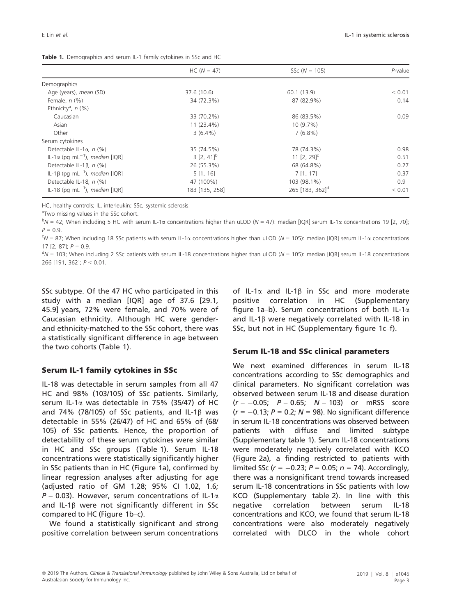| Table 1. Demographics and serum IL-1 family cytokines in SSc and HC |  |  |
|---------------------------------------------------------------------|--|--|

|                                                   | $HC (N = 47)$   | SSc $(N = 105)$             | $P$ -value |
|---------------------------------------------------|-----------------|-----------------------------|------------|
| Demographics                                      |                 |                             |            |
| Age (years), mean (SD)                            | 37.6 (10.6)     | 60.1 (13.9)                 | < 0.01     |
| Female, $n$ $(\%)$                                | 34 (72.3%)      | 87 (82.9%)                  | 0.14       |
| Ethnicity <sup>a</sup> , $n$ (%)                  |                 |                             |            |
| Caucasian                                         | 33 (70.2%)      | 86 (83.5%)                  | 0.09       |
| Asian                                             | $11(23.4\%)$    | $10(9.7\%)$                 |            |
| Other                                             | $3(6.4\%)$      | $7(6.8\%)$                  |            |
| Serum cytokines                                   |                 |                             |            |
| Detectable IL-1 $\alpha$ , n (%)                  | 35 (74.5%)      | 78 (74.3%)                  | 0.98       |
| IL-1α (pq mL <sup>-1</sup> ), median [IQR]        | $3 [2, 41]^{b}$ | 11 $[2, 29]$ <sup>c</sup>   | 0.51       |
| Detectable IL-1 $\beta$ , n (%)                   | 26 (55.3%)      | 68 (64.8%)                  | 0.27       |
| IL-1 $\beta$ (pg mL <sup>-1</sup> ), median [IQR] | 5[1, 16]        | 7[1, 17]                    | 0.37       |
| Detectable IL-18, $n$ (%)                         | 47 (100%)       | 103 (98.1%)                 | 0.9        |
| IL-18 (pq mL <sup>-1</sup> ), median [IQR]        | 183 [135, 258]  | 265 [183, 362] <sup>d</sup> | < 0.01     |

HC, healthy controls; IL, interleukin; SSc, systemic sclerosis.

<sup>a</sup>Two missing values in the SSc cohort.

 $bN = 42$ ; When including 5 HC with serum IL-1 $\alpha$  concentrations higher than uLOD (N = 47): median [IQR] serum IL-1 $\alpha$  concentrations 19 [2, 70];  $P = 0.9$ .

 $c_{\rm N}$  = 87; When including 18 SSc patients with serum IL-1 $\alpha$  concentrations higher than uLOD (N = 105): median [IQR] serum IL-1 $\alpha$  concentrations 17  $[2, 87]$ ;  $P = 0.9$ .

 $dN = 103$ ; When including 2 SSc patients with serum IL-18 concentrations higher than uLOD (N = 105): median [IQR] serum IL-18 concentrations 266 [191, 362]; P < 0.01.

SSc subtype. Of the 47 HC who participated in this study with a median [IQR] age of 37.6 [29.1, 45.9] years, 72% were female, and 70% were of Caucasian ethnicity. Although HC were genderand ethnicity-matched to the SSc cohort, there was a statistically significant difference in age between the two cohorts (Table 1).

#### Serum IL-1 family cytokines in SSc

IL-18 was detectable in serum samples from all 47 HC and 98% (103/105) of SSc patients. Similarly, serum IL-1a was detectable in 75% (35/47) of HC and 74% (78/105) of SSc patients, and IL-1 $\beta$  was detectable in 55% (26/47) of HC and 65% of (68/ 105) of SSc patients. Hence, the proportion of detectability of these serum cytokines were similar in HC and SSc groups (Table 1). Serum IL-18 concentrations were statistically significantly higher in SSc patients than in HC (Figure 1a), confirmed by linear regression analyses after adjusting for age (adjusted ratio of GM 1.28; 95% CI 1.02, 1.6;  $P = 0.03$ ). However, serum concentrations of IL-1 $\alpha$ and IL-1 $\beta$  were not significantly different in SSc compared to HC (Figure 1b–c).

We found a statistically significant and strong positive correlation between serum concentrations of IL-1 $\alpha$  and IL-1 $\beta$  in SSc and more moderate positive correlation in HC (Supplementary figure 1a–b). Serum concentrations of both IL-1 $\alpha$ and IL-1 $\beta$  were negatively correlated with IL-18 in SSc, but not in HC (Supplementary figure 1c–f).

#### Serum IL-18 and SSc clinical parameters

We next examined differences in serum IL-18 concentrations according to SSc demographics and clinical parameters. No significant correlation was observed between serum IL-18 and disease duration  $(r = -0.05; P = 0.65; N = 103)$  or mRSS score  $(r = -0.13; P = 0.2; N = 98)$ . No significant difference in serum IL-18 concentrations was observed between patients with diffuse and limited subtype (Supplementary table 1). Serum IL-18 concentrations were moderately negatively correlated with KCO (Figure 2a), a finding restricted to patients with limited SSc ( $r = -0.23$ ;  $P = 0.05$ ;  $n = 74$ ). Accordingly, there was a nonsignificant trend towards increased serum IL-18 concentrations in SSc patients with low KCO (Supplementary table 2). In line with this negative correlation between serum IL-18 concentrations and KCO, we found that serum IL-18 concentrations were also moderately negatively correlated with DLCO in the whole cohort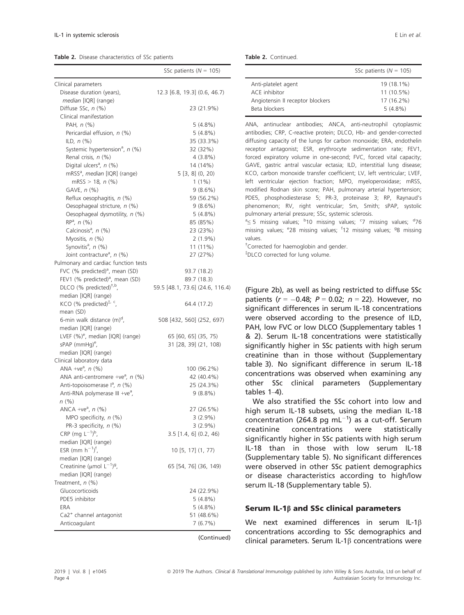Table 2. Disease characteristics of SSc patients

|                                                                                 | SSc patients ( $N = 105$ )      |                           |
|---------------------------------------------------------------------------------|---------------------------------|---------------------------|
| Clinical parameters                                                             |                                 |                           |
| Disease duration (years),                                                       | 12.3 [6.8, 19.3] (0.6, 46.7)    |                           |
| median [IQR] (range)                                                            |                                 |                           |
| Diffuse SSc, n (%)                                                              |                                 | 23 (21.9%)                |
| Clinical manifestation                                                          |                                 |                           |
| PAH, $n$ $(\%)$                                                                 |                                 | $5(4.8\%)$                |
| Pericardial effusion, n (%)                                                     |                                 | $5(4.8\%)$                |
| ILD, $n$ $(\%)$                                                                 |                                 | 35 (33.3%)                |
| Systemic hypertension <sup>a</sup> , n (%)                                      |                                 | 32 (32%)                  |
| Renal crisis, n (%)                                                             |                                 | $4(3.8\%)$                |
| Digital ulcers <sup>a</sup> , n (%)                                             |                                 | 14 (14%)                  |
| mRSS <sup>a</sup> , median [IQR] (range)                                        | 5[3, 8](0, 20)                  |                           |
| mRSS $> 18$ , n $(\%)$                                                          |                                 | $1(1\%)$                  |
| GAVE, $n$ (%)                                                                   |                                 | $9(8.6\%)$                |
| Reflux oesophagitis, n (%)                                                      |                                 | 59 (56.2%)                |
| Oesophageal stricture, n (%)                                                    |                                 | $9(8.6\%)$                |
| Oesophageal dysmotility, n (%)                                                  |                                 | $5(4.8\%)$                |
| $RP^a$ , $n$ (%)                                                                |                                 | 85 (85%)                  |
| Calcinosis <sup>a</sup> , n (%)                                                 |                                 | 23 (23%)                  |
| Myositis, n (%)                                                                 |                                 | $2(1.9\%)$                |
| Synovitis <sup>a</sup> , n (%)                                                  |                                 | 11 (11%)                  |
| Joint contracture <sup>a</sup> , n (%)                                          |                                 | 27 (27%)                  |
| Pulmonary and cardiac function tests                                            |                                 |                           |
| FVC (% predicted) <sup>a</sup> , mean (SD)                                      |                                 | 93.7 (18.2)               |
| FEV1 (% predicted) <sup>a</sup> , mean (SD)                                     |                                 | 89.7 (18.3)               |
| DLCO (% predicted) <sup>†,b</sup> ,                                             | 59.5 [48.1, 73.6] (24.6, 116.4) |                           |
| median [IQR] (range)                                                            |                                 |                           |
| KCO (% predicted) $\frac{1}{r}$ , c                                             |                                 | 64.4 (17.2)               |
|                                                                                 |                                 |                           |
| mean (SD)<br>6-min walk distance (m) <sup>d</sup> ,                             |                                 |                           |
| median [IQR] (range)                                                            | 508 [432, 560] (252, 697)       |                           |
| LVEF (%) <sup>e</sup> , median [IQR] (range)                                    | 65 [60, 65] (35, 75)            |                           |
| sPAP (mmHg) <sup>e</sup> ,                                                      | 31 [28, 39] (21, 108)           |                           |
| median [IQR] (range)                                                            |                                 |                           |
|                                                                                 |                                 |                           |
| Clinical laboratory data                                                        |                                 |                           |
| ANA +ve <sup>a</sup> , $n$ (%)<br>ANA anti-centromere +ve <sup>a</sup> , n (%)  |                                 | 100 (96.2%)<br>42 (40.4%) |
|                                                                                 |                                 | 25 (24.3%)                |
| Anti-topoisomerase lª, n (%)                                                    |                                 |                           |
| Anti-RNA polymerase III +ve <sup>a</sup> ,                                      |                                 | $9(8.8\%)$                |
| $n (\%)$                                                                        |                                 |                           |
| ANCA +ve <sup>a</sup> , $n$ (%)<br>MPO specificity, $n$ (%)                     |                                 | 27 (26.5%)                |
|                                                                                 |                                 | 3(2.9%)                   |
| PR-3 specificity, n (%)                                                         | $3.5$ [1.4, 6] (0.2, 46)        | $3(2.9\%)$                |
| CRP (mg $L^{-1}$ ) <sup>b</sup> ,<br>median [IQR] (range)                       |                                 |                           |
| ESR (mm $h^{-1}$ ) <sup>f</sup> ,                                               |                                 |                           |
|                                                                                 | 10 [5, 17] (1, 77)              |                           |
| median [IQR] (range)<br>Creatinine ( $\mu$ mol L <sup>-1</sup> ) <sup>9</sup> , |                                 |                           |
|                                                                                 | 65 [54, 76] (36, 149)           |                           |
| median [IQR] (range)                                                            |                                 |                           |
| Treatment, $n$ (%)                                                              |                                 |                           |
| Glucocorticoids                                                                 |                                 | 24 (22.9%)                |
| PDE5 inhibitor                                                                  |                                 | 5(4.8%)                   |
| ERA                                                                             |                                 | 5(4.8%)                   |
| Ca2 <sup>+</sup> channel antagonist                                             |                                 | 51 (48.6%)                |
| Anticoagulant                                                                   |                                 | 7(6.7%)                   |

(Continued)

| Table 2. Continued. |  |
|---------------------|--|
|                     |  |

|                                  | SSc patients ( $N = 105$ ) |
|----------------------------------|----------------------------|
| Anti-platelet agent              | 19 (18.1%)                 |
| ACF inhibitor                    | $11(10.5\%)$               |
| Angiotensin II receptor blockers | 17 (16.2%)                 |
| Beta blockers                    | $5(4.8\%)$                 |

ANA, antinuclear antibodies; ANCA, anti-neutrophil cytoplasmic antibodies; CRP, C-reactive protein; DLCO, Hb- and gender-corrected diffusing capacity of the lungs for carbon monoxide; ERA, endothelin receptor antagonist; ESR, erythrocyte sedimentation rate; FEV1, forced expiratory volume in one-second; FVC, forced vital capacity; GAVE, gastric antral vascular ectasia; ILD, interstitial lung disease; KCO, carbon monoxide transfer coefficient; LV, left ventricular; LVEF, left ventricular ejection fraction; MPO, myeloperoxidase; mRSS, modified Rodnan skin score; PAH, pulmonary arterial hypertension; PDE5, phosphodiesterase 5; PR-3, proteinase 3; RP, Raynaud's phenomenon; RV, right ventricular; Sm, Smith; sPAP, systolic pulmonary arterial pressure; SSc, systemic sclerosis.

 $a \leq 5$  missing values;  $b$ 10 missing values;  $c$ 7 missing values;  $d$ 76 missing values; <sup>e</sup>28 missing values; <sup>f</sup>12 missing values; <sup>g</sup>8 missing values.

† Corrected for haemoglobin and gender.

‡ DLCO corrected for lung volume.

(Figure 2b), as well as being restricted to diffuse SSc patients ( $r = -0.48$ ;  $P = 0.02$ ;  $n = 22$ ). However, no significant differences in serum IL-18 concentrations were observed according to the presence of ILD, PAH, low FVC or low DLCO (Supplementary tables 1 & 2). Serum IL-18 concentrations were statistically significantly higher in SSc patients with high serum creatinine than in those without (Supplementary table 3). No significant difference in serum IL-18 concentrations was observed when examining any other SSc clinical parameters (Supplementary tables 1–4).

We also stratified the SSc cohort into low and high serum IL-18 subsets, using the median IL-18 concentration (264.8 pg mL $^{-1}$ ) as a cut-off. Serum creatinine concentrations were statistically significantly higher in SSc patients with high serum IL-18 than in those with low serum IL-18 (Supplementary table 5). No significant differences were observed in other SSc patient demographics or disease characteristics according to high/low serum IL-18 (Supplementary table 5).

#### Serum IL-1 $\beta$  and SSc clinical parameters

We next examined differences in serum IL-1 $\beta$ concentrations according to SSc demographics and clinical parameters. Serum IL-1 $\beta$  concentrations were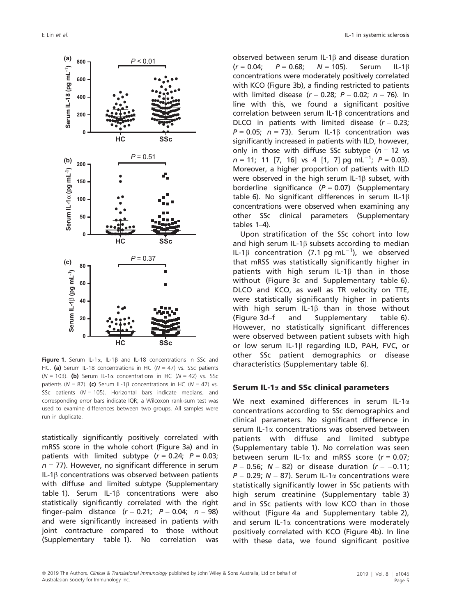

Figure 1. Serum IL-1 $\alpha$ , IL-1 $\beta$  and IL-18 concentrations in SSc and HC. (a) Serum IL-18 concentrations in HC ( $N = 47$ ) vs. SSc patients ( $N = 103$ ). (b) Serum IL-1 $\alpha$  concentrations in HC ( $N = 42$ ) vs. SSc patients ( $N = 87$ ). (c) Serum IL-1 $\beta$  concentrations in HC ( $N = 47$ ) vs. SSc patients  $(N = 105)$ . Horizontal bars indicate medians, and corresponding error bars indicate IQR; a Wilcoxon rank-sum test was used to examine differences between two groups. All samples were run in duplicate.

statistically significantly positively correlated with mRSS score in the whole cohort (Figure 3a) and in patients with limited subtype  $(r = 0.24; P = 0.03;$  $n = 77$ ). However, no significant difference in serum IL-1 $\beta$  concentrations was observed between patients with diffuse and limited subtype (Supplementary table 1). Serum IL-1 $\beta$  concentrations were also statistically significantly correlated with the right finger–palm distance  $(r = 0.21; P = 0.04; n = 98)$ and were significantly increased in patients with joint contracture compared to those without (Supplementary table 1). No correlation was

observed between serum IL-1b and disease duration  $(r = 0.04; P = 0.68; N = 105)$ . Serum IL-1 $\beta$ concentrations were moderately positively correlated with KCO (Figure 3b), a finding restricted to patients with limited disease  $(r = 0.28; P = 0.02; n = 76)$ . In line with this, we found a significant positive correlation between serum IL-1 $\beta$  concentrations and DLCO in patients with limited disease  $(r = 0.23)$ ;  $P = 0.05$ ;  $n = 73$ ). Serum IL-1 $\beta$  concentration was significantly increased in patients with ILD, however, only in those with diffuse SSc subtype ( $n = 12$  vs  $n = 11$ ; 11 [7, 16] vs 4 [1, 7] pg mL<sup>-1</sup>;  $P = 0.03$ ). Moreover, a higher proportion of patients with ILD were observed in the high serum IL-1 $\beta$  subset, with borderline significance  $(P = 0.07)$  (Supplementary table 6). No significant differences in serum IL-1 $\beta$ concentrations were observed when examining any other SSc clinical parameters (Supplementary tables 1–4).

Upon stratification of the SSc cohort into low and high serum IL-1 $\beta$  subsets according to median IL-1 $\beta$  concentration (7.1 pg mL<sup>-1</sup>), we observed that mRSS was statistically significantly higher in patients with high serum IL-1 $\beta$  than in those without (Figure 3c and Supplementary table 6). DLCO and KCO, as well as TR velocity on TTE, were statistically significantly higher in patients with high serum IL-1 $\beta$  than in those without (Figure 3d–f and Supplementary table 6). However, no statistically significant differences were observed between patient subsets with high or low serum IL-1 $\beta$  regarding ILD, PAH, FVC, or other SSc patient demographics or disease characteristics (Supplementary table 6).

#### Serum IL-1 $\alpha$  and SSc clinical parameters

We next examined differences in serum IL-1 $\alpha$ concentrations according to SSc demographics and clinical parameters. No significant difference in serum IL-1a concentrations was observed between patients with diffuse and limited subtype (Supplementary table 1). No correlation was seen between serum IL-1 $\alpha$  and mRSS score ( $r = 0.07$ ;  $P = 0.56$ ;  $N = 82$ ) or disease duration ( $r = -0.11$ ;  $P = 0.29$ ;  $N = 87$ ). Serum IL-1 $\alpha$  concentrations were statistically significantly lower in SSc patients with high serum creatinine (Supplementary table 3) and in SSc patients with low KCO than in those without (Figure 4a and Supplementary table 2), and serum IL-1 $\alpha$  concentrations were moderately positively correlated with KCO (Figure 4b). In line with these data, we found significant positive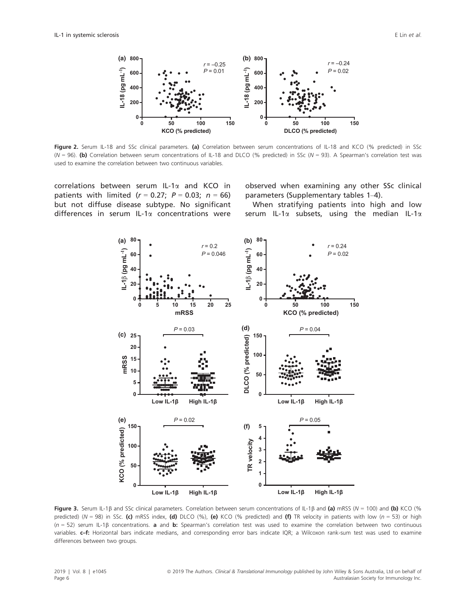

Figure 2. Serum IL-18 and SSc clinical parameters. (a) Correlation between serum concentrations of IL-18 and KCO (% predicted) in SSc (N = 96). (b) Correlation between serum concentrations of IL-18 and DLCO (% predicted) in SSc (N = 93). A Spearman's correlation test was used to examine the correlation between two continuous variables.

correlations between serum IL-1 $\alpha$  and KCO in patients with limited  $(r = 0.27; P = 0.03; n = 66)$ but not diffuse disease subtype. No significant differences in serum IL-1a concentrations were observed when examining any other SSc clinical parameters (Supplementary tables 1–4).

When stratifying patients into high and low serum IL-1 $\alpha$  subsets, using the median IL-1 $\alpha$ 



Figure 3. Serum IL-1 $\beta$  and SSc clinical parameters. Correlation between serum concentrations of IL-1 $\beta$  and (a) mRSS (N = 100) and (b) KCO (% predicted) ( $N = 98$ ) in SSc. (c) mRSS index, (d) DLCO (%), (e) KCO (% predicted) and (f) TR velocity in patients with low ( $n = 53$ ) or high  $(n = 52)$  serum IL-1B concentrations. **a** and **b:** Spearman's correlation test was used to examine the correlation between two continuous variables. c-f: Horizontal bars indicate medians, and corresponding error bars indicate IQR; a Wilcoxon rank-sum test was used to examine differences between two groups.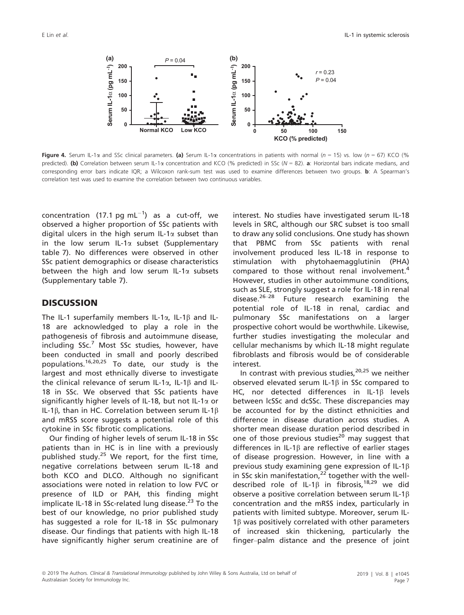

Figure 4. Serum IL-1 $\alpha$  and SSc clinical parameters. (a) Serum IL-1 $\alpha$  concentrations in patients with normal (n = 15) vs. low (n = 67) KCO (% predicted). (b) Correlation between serum IL-1 $\alpha$  concentration and KCO (% predicted) in SSc (N = 82). a: Horizontal bars indicate medians, and corresponding error bars indicate IQR; a Wilcoxon rank-sum test was used to examine differences between two groups. **b**: A Spearman's correlation test was used to examine the correlation between two continuous variables.

concentration (17.1 pg mL $^{-1}$ ) as a cut-off, we observed a higher proportion of SSc patients with digital ulcers in the high serum IL-1 $\alpha$  subset than in the low serum IL-1 $\alpha$  subset (Supplementary table 7). No differences were observed in other SSc patient demographics or disease characteristics between the high and low serum IL-1 $\alpha$  subsets (Supplementary table 7).

# **DISCUSSION**

The IL-1 superfamily members IL-1 $\alpha$ , IL-1 $\beta$  and IL-18 are acknowledged to play a role in the pathogenesis of fibrosis and autoimmune disease, including  $SSc<sup>7</sup>$  Most SSc studies, however, have been conducted in small and poorly described populations.<sup>16,20,25</sup> To date, our study is the largest and most ethnically diverse to investigate the clinical relevance of serum IL-1 $\alpha$ , IL-1 $\beta$  and IL-18 in SSc. We observed that SSc patients have significantly higher levels of IL-18, but not IL-1 $\alpha$  or IL-1 $\beta$ , than in HC. Correlation between serum IL-1 $\beta$ and mRSS score suggests a potential role of this cytokine in SSc fibrotic complications.

Our finding of higher levels of serum IL-18 in SSc patients than in HC is in line with a previously published study. $25$  We report, for the first time, negative correlations between serum IL-18 and both KCO and DLCO. Although no significant associations were noted in relation to low FVC or presence of ILD or PAH, this finding might implicate IL-18 in SSc-related lung disease.<sup>23</sup> To the best of our knowledge, no prior published study has suggested a role for IL-18 in SSc pulmonary disease. Our findings that patients with high IL-18 have significantly higher serum creatinine are of

interest. No studies have investigated serum IL-18 levels in SRC, although our SRC subset is too small to draw any solid conclusions. One study has shown that PBMC from SSc patients with renal involvement produced less IL-18 in response to stimulation with phytohaemagglutinin (PHA) compared to those without renal involvement.<sup>4</sup> However, studies in other autoimmune conditions, such as SLE, strongly suggest a role for IL-18 in renal disease.26–<sup>28</sup> Future research examining the potential role of IL-18 in renal, cardiac and pulmonary SSc manifestations on a larger prospective cohort would be worthwhile. Likewise, further studies investigating the molecular and cellular mechanisms by which IL-18 might regulate fibroblasts and fibrosis would be of considerable interest.

In contrast with previous studies,  $20,25$  we neither observed elevated serum IL-1 $\beta$  in SSc compared to HC, nor detected differences in IL-1 $\beta$  levels between lcSSc and dcSSc. These discrepancies may be accounted for by the distinct ethnicities and difference in disease duration across studies. A shorter mean disease duration period described in one of those previous studies<sup>20</sup> may suggest that differences in IL-1 $\beta$  are reflective of earlier stages of disease progression. However, in line with a previous study examining gene expression of IL-1 $\beta$ in SSc skin manifestation, $2^{2}$  together with the welldescribed role of IL-1 $\beta$  in fibrosis,<sup>18,29</sup> we did observe a positive correlation between serum IL-1 $\beta$ concentration and the mRSS index, particularly in patients with limited subtype. Moreover, serum IL- $1\beta$  was positively correlated with other parameters of increased skin thickening, particularly the finger–palm distance and the presence of joint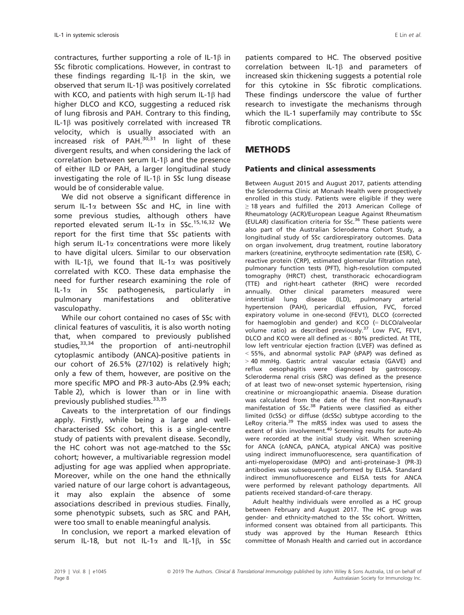contractures, further supporting a role of IL-1 $\beta$  in SSc fibrotic complications. However, in contrast to these findings regarding IL-1 $\beta$  in the skin, we observed that serum IL-1b was positively correlated with KCO, and patients with high serum IL-1 $\beta$  had higher DLCO and KCO, suggesting a reduced risk of lung fibrosis and PAH. Contrary to this finding, IL-1 $\beta$  was positively correlated with increased TR velocity, which is usually associated with an increased risk of PAH. $30,31$  In light of these divergent results, and when considering the lack of correlation between serum IL-1b and the presence of either ILD or PAH, a larger longitudinal study investigating the role of IL-1 $\beta$  in SSc lung disease would be of considerable value.

We did not observe a significant difference in serum IL-1 $\alpha$  between SSc and HC, in line with some previous studies, although others have reported elevated serum IL-1 $\alpha$  in SSc.<sup>15,16,32</sup> We report for the first time that SSc patients with high serum IL-1 $\alpha$  concentrations were more likely to have digital ulcers. Similar to our observation with IL-1 $\beta$ , we found that IL-1 $\alpha$  was positively correlated with KCO. These data emphasise the need for further research examining the role of  $IL-1\alpha$  in SSc pathogenesis, particularly in pulmonary manifestations and obliterative vasculopathy.

While our cohort contained no cases of SSc with clinical features of vasculitis, it is also worth noting that, when compared to previously published studies, $33,34$  the proportion of anti-neutrophil cytoplasmic antibody (ANCA)-positive patients in our cohort of 26.5% (27/102) is relatively high; only a few of them, however, are positive on the more specific MPO and PR-3 auto-Abs (2.9% each; Table 2), which is lower than or in line with previously published studies.<sup>33,35</sup>

Caveats to the interpretation of our findings apply. Firstly, while being a large and wellcharacterised SSc cohort, this is a single-centre study of patients with prevalent disease. Secondly, the HC cohort was not age-matched to the SSc cohort; however, a multivariable regression model adjusting for age was applied when appropriate. Moreover, while on the one hand the ethnically varied nature of our large cohort is advantageous, it may also explain the absence of some associations described in previous studies. Finally, some phenotypic subsets, such as SRC and PAH, were too small to enable meaningful analysis.

In conclusion, we report a marked elevation of serum IL-18, but not IL-1 $\alpha$  and IL-1 $\beta$ , in SSc

patients compared to HC. The observed positive correlation between IL-1 $\beta$  and parameters of increased skin thickening suggests a potential role for this cytokine in SSc fibrotic complications. These findings underscore the value of further research to investigate the mechanisms through which the IL-1 superfamily may contribute to SSc fibrotic complications.

# METHODS

#### Patients and clinical assessments

Between August 2015 and August 2017, patients attending the Scleroderma Clinic at Monash Health were prospectively enrolled in this study. Patients were eligible if they were ≥ 18 years and fulfilled the 2013 American College of Rheumatology (ACR)/European League Against Rheumatism (EULAR) classification criteria for SSc.<sup>36</sup> These patients were also part of the Australian Scleroderma Cohort Study, a longitudinal study of SSc cardiorespiratory outcomes. Data on organ involvement, drug treatment, routine laboratory markers (creatinine, erythrocyte sedimentation rate (ESR), Creactive protein (CRP), estimated glomerular filtration rate), pulmonary function tests (PFT), high-resolution computed tomography (HRCT) chest, transthoracic echocardiogram (TTE) and right-heart catheter (RHC) were recorded annually. Other clinical parameters measured were interstitial lung disease (ILD), pulmonary arterial hypertension (PAH), pericardial effusion, FVC, forced expiratory volume in one-second (FEV1), DLCO (corrected for haemoglobin and gender) and KCO (= DLCO/alveolar volume ratio) as described previously.<sup>37</sup> Low FVC, FEV1, DLCO and KCO were all defined as < 80% predicted. At TTE, low left ventricular ejection fraction (LVEF) was defined as < 55%, and abnormal systolic PAP (sPAP) was defined as > 40 mmHg. Gastric antral vascular ectasia (GAVE) and reflux oesophagitis were diagnosed by gastroscopy. Scleroderma renal crisis (SRC) was defined as the presence of at least two of new-onset systemic hypertension, rising creatinine or microangiopathic anaemia. Disease duration was calculated from the date of the first non-Raynaud's manifestation of SSc.<sup>38</sup> Patients were classified as either limited (lcSSc) or diffuse (dcSSc) subtype according to the LeRoy criteria.<sup>39</sup> The mRSS index was used to assess the extent of skin involvement.<sup>40</sup> Screening results for auto-Ab were recorded at the initial study visit. When screening for ANCA (cANCA, pANCA, atypical ANCA) was positive using indirect immunofluorescence, sera quantification of anti-myeloperoxidase (MPO) and anti-proteinase-3 (PR-3) antibodies was subsequently performed by ELISA. Standard indirect immunofluorescence and ELISA tests for ANCA were performed by relevant pathology departments. All patients received standard-of-care therapy.

Adult healthy individuals were enrolled as a HC group between February and August 2017. The HC group was gender- and ethnicity-matched to the SSc cohort. Written, informed consent was obtained from all participants. This study was approved by the Human Research Ethics committee of Monash Health and carried out in accordance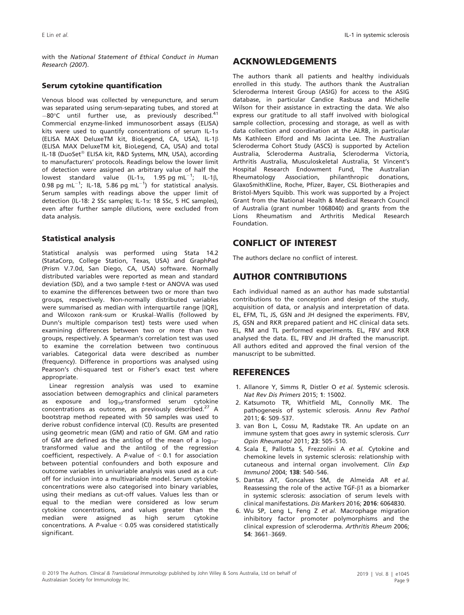with the National Statement of Ethical Conduct in Human Research (2007).

#### Serum cytokine quantification

Venous blood was collected by venepuncture, and serum was separated using serum-separating tubes, and stored at  $-80^{\circ}$ C until further use, as previously described.<sup>4</sup> Commercial enzyme-linked immunosorbent assays (ELISA) kits were used to quantify concentrations of serum IL-1 $\alpha$ (ELISA MAX DeluxeTM kit, BioLegend, CA, USA), IL-1b (ELISA MAX DeluxeTM kit, BioLegend, CA, USA) and total IL-18 (DuoSet® ELISA kit, R&D Systems, MN, USA), according to manufacturers' protocols. Readings below the lower limit of detection were assigned an arbitrary value of half the lowest standard value (IL-1 $\alpha$ , 1.95 pg mL<sup>-1</sup>; IL-1 $\beta$ , 0.98 pg mL $^{-1}$ ; IL-18, 5.86 pg mL $^{-1}$ ) for statistical analysis. Serum samples with readings above the upper limit of detection (IL-18: 2 SSc samples; IL-1a: 18 SSc, 5 HC samples), even after further sample dilutions, were excluded from data analysis.

#### Statistical analysis

Statistical analysis was performed using Stata 14.2 (StataCorp, College Station, Texas, USA) and GraphPad (Prism V.7.0d, San Diego, CA, USA) software. Normally distributed variables were reported as mean and standard deviation (SD), and a two sample t-test or ANOVA was used to examine the differences between two or more than two groups, respectively. Non-normally distributed variables were summarised as median with interquartile range [IQR], and Wilcoxon rank-sum or Kruskal–Wallis (followed by Dunn's multiple comparison test) tests were used when examining differences between two or more than two groups, respectively. A Spearman's correlation test was used to examine the correlation between two continuous variables. Categorical data were described as number (frequency). Difference in proportions was analysed using Pearson's chi-squared test or Fisher's exact test where appropriate.

Linear regression analysis was used to examine association between demographics and clinical parameters as exposure and  $log_{10}$ -transformed serum cytokine concentrations as outcome, as previously described.<sup>27</sup> A bootstrap method repeated with 50 samples was used to derive robust confidence interval (CI). Results are presented using geometric mean (GM) and ratio of GM. GM and ratio of GM are defined as the antilog of the mean of a  $log_{10}$ transformed value and the antilog of the regression coefficient, respectively. A *P*-value of  $< 0.1$  for association between potential confounders and both exposure and outcome variables in univariable analysis was used as a cutoff for inclusion into a multivariable model. Serum cytokine concentrations were also categorised into binary variables, using their medians as cut-off values. Values less than or equal to the median were considered as low serum cytokine concentrations, and values greater than the median were assigned as high serum cytokine concentrations. A P-value < 0.05 was considered statistically significant.

### ACKNOWLEDGEMENTS

The authors thank all patients and healthy individuals enrolled in this study. The authors thank the Australian Scleroderma Interest Group (ASIG) for access to the ASIG database, in particular Candice Rasbusa and Michelle Wilson for their assistance in extracting the data. We also express our gratitude to all staff involved with biological sample collection, processing and storage, as well as with data collection and coordination at the ALRB, in particular Ms Kathleen Elford and Ms Jacinta Lee. The Australian Scleroderma Cohort Study (ASCS) is supported by Actelion Australia, Scleroderma Australia, Scleroderma Victoria, Arthritis Australia, Musculoskeletal Australia, St Vincent's Hospital Research Endowment Fund, The Australian Rheumatology Association, philanthropic donations, GlaxoSmithKline, Roche, Pfizer, Bayer, CSL Biotherapies and Bristol-Myers Squibb. This work was supported by a Project Grant from the National Health & Medical Research Council of Australia (grant number 1068040) and grants from the Lions Rheumatism and Arthritis Medical Research Foundation.

# CONFLICT OF INTEREST

The authors declare no conflict of interest.

# AUTHOR CONTRIBUTIONS

Each individual named as an author has made substantial contributions to the conception and design of the study, acquisition of data, or analysis and interpretation of data. EL, EFM, TL, JS, GSN and JH designed the experiments. FBV, JS, GSN and RKR prepared patient and HC clinical data sets. EL, RM and TL performed experiments. EL, FBV and RKR analysed the data. EL, FBV and JH drafted the manuscript. All authors edited and approved the final version of the manuscript to be submitted.

# **REFERENCES**

- 1. Allanore Y, Simms R, Distler O et al. Systemic sclerosis. Nat Rev Dis Primers 2015; 1: 15002.
- 2. Katsumoto TR, Whitfield ML, Connolly MK. The pathogenesis of systemic sclerosis. Annu Rev Pathol 2011; 6: 509–537.
- 3. van Bon L, Cossu M, Radstake TR. An update on an immune system that goes awry in systemic sclerosis. Curr Opin Rheumatol 2011; 23: 505–510.
- 4. Scala E, Pallotta S, Frezzolini A et al. Cytokine and chemokine levels in systemic sclerosis: relationship with cutaneous and internal organ involvement. Clin Exp Immunol 2004; 138: 540–546.
- 5. Dantas AT, Goncalves SM, de Almeida AR et al. Reassessing the role of the active TGF- $\beta$ 1 as a biomarker in systemic sclerosis: association of serum levels with clinical manifestations. Dis Markers 2016; 2016: 6064830.
- 6. Wu SP, Leng L, Feng Z et al. Macrophage migration inhibitory factor promoter polymorphisms and the clinical expression of scleroderma. Arthritis Rheum 2006; 54: 3661–3669.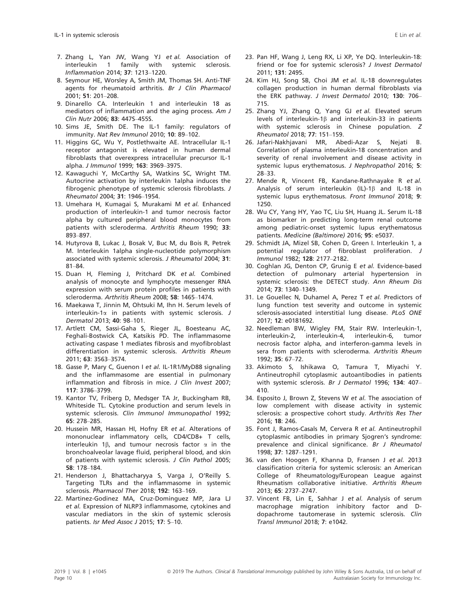- 7. Zhang L, Yan JW, Wang YJ et al. Association of interleukin 1 family with systemic sclerosis. Inflammation 2014; 37: 1213–1220.
- 8. Seymour HE, Worsley A, Smith JM, Thomas SH. Anti-TNF agents for rheumatoid arthritis. Br J Clin Pharmacol 2001; 51: 201–208.
- 9. Dinarello CA. Interleukin 1 and interleukin 18 as mediators of inflammation and the aging process. Am J Clin Nutr 2006; 83: 447S–455S.
- 10. Sims JE, Smith DE. The IL-1 family: regulators of immunity. Nat Rev Immunol 2010; 10: 89–102.
- 11. Higgins GC, Wu Y, Postlethwaite AE. Intracellular IL-1 receptor antagonist is elevated in human dermal fibroblasts that overexpress intracellular precursor IL-1 alpha. J Immunol 1999; 163: 3969–3975.
- 12. Kawaguchi Y, McCarthy SA, Watkins SC, Wright TM. Autocrine activation by interleukin 1alpha induces the fibrogenic phenotype of systemic sclerosis fibroblasts. J Rheumatol 2004; 31: 1946–1954.
- 13. Umehara H, Kumagai S, Murakami M et al. Enhanced production of interleukin-1 and tumor necrosis factor alpha by cultured peripheral blood monocytes from patients with scleroderma. Arthritis Rheum 1990; 33: 893–897.
- 14. Hutyrova B, Lukac J, Bosak V, Buc M, du Bois R, Petrek M. Interleukin 1alpha single-nucleotide polymorphism associated with systemic sclerosis. J Rheumatol 2004; 31: 81–84.
- 15. Duan H, Fleming J, Pritchard DK et al. Combined analysis of monocyte and lymphocyte messenger RNA expression with serum protein profiles in patients with scleroderma. Arthritis Rheum 2008; 58: 1465–1474.
- 16. Maekawa T, Jinnin M, Ohtsuki M, Ihn H. Serum levels of interleukin-1 $\alpha$  in patients with systemic sclerosis. J Dermatol 2013; 40: 98–101.
- 17. Artlett CM, Sassi-Gaha S, Rieger JL, Boesteanu AC, Feghali-Bostwick CA, Katsikis PD. The inflammasome activating caspase 1 mediates fibrosis and myofibroblast differentiation in systemic sclerosis. Arthritis Rheum 2011; 63: 3563–3574.
- 18. Gasse P, Mary C, Guenon I et al. IL-1R1/MyD88 signaling and the inflammasome are essential in pulmonary inflammation and fibrosis in mice. J Clin Invest 2007; 117: 3786–3799.
- 19. Kantor TV, Friberg D, Medsger TA Jr, Buckingham RB, Whiteside TL. Cytokine production and serum levels in systemic sclerosis. Clin Immunol Immunopathol 1992; 65: 278–285.
- 20. Hussein MR, Hassan HI, Hofny ER et al. Alterations of mononuclear inflammatory cells, CD4/CD8+ T cells, interleukin 1 $\beta$ , and tumour necrosis factor  $\alpha$  in the bronchoalveolar lavage fluid, peripheral blood, and skin of patients with systemic sclerosis. J Clin Pathol 2005; 58: 178–184.
- 21. Henderson J, Bhattacharyya S, Varga J, O'Reilly S. Targeting TLRs and the inflammasome in systemic sclerosis. Pharmacol Ther 2018; 192: 163–169.
- 22. Martinez-Godinez MA, Cruz-Dominguez MP, Jara LJ et al. Expression of NLRP3 inflammasome, cytokines and vascular mediators in the skin of systemic sclerosis patients. Isr Med Assoc J 2015; 17: 5–10.
- 23. Pan HF, Wang J, Leng RX, Li XP, Ye DQ. Interleukin-18: friend or foe for systemic sclerosis? J Invest Dermatol 2011; 131: 2495.
- 24. Kim HJ, Song SB, Choi JM et al. IL-18 downregulates collagen production in human dermal fibroblasts via the ERK pathway. J Invest Dermatol 2010; 130: 706– 715.
- 25. Zhang YJ, Zhang Q, Yang GJ et al. Elevated serum levels of interleukin-1 $\beta$  and interleukin-33 in patients with systemic sclerosis in Chinese population. Z Rheumatol 2018; 77: 151–159.
- 26. Jafari-Nakhjavani MR, Abedi-Azar S, Nejati B. Correlation of plasma interleukin-18 concentration and severity of renal involvement and disease activity in systemic lupus erythematosus. J Nephropathol 2016; 5: 28–33.
- 27. Mende R, Vincent FB, Kandane-Rathnayake R et al. Analysis of serum interleukin (IL)-18 and IL-18 in systemic lupus erythematosus. Front Immunol 2018; 9: 1250.
- 28. Wu CY, Yang HY, Yao TC, Liu SH, Huang JL. Serum IL-18 as biomarker in predicting long-term renal outcome among pediatric-onset systemic lupus erythematosus patients. Medicine (Baltimore) 2016; 95: e5037.
- 29. Schmidt JA, Mizel SB, Cohen D, Green I. Interleukin 1, a potential regulator of fibroblast proliferation. J Immunol 1982; 128: 2177–2182.
- 30. Coghlan JG, Denton CP, Grunig E et al. Evidence-based detection of pulmonary arterial hypertension in systemic sclerosis: the DETECT study. Ann Rheum Dis 2014; 73: 1340–1349.
- 31. Le Gouellec N, Duhamel A, Perez T et al. Predictors of lung function test severity and outcome in systemic sclerosis-associated interstitial lung disease. PLoS ONE 2017; 12: e0181692.
- 32. Needleman BW, Wigley FM, Stair RW. Interleukin-1, interleukin-2, interleukin-4, interleukin-6, tumor necrosis factor alpha, and interferon-gamma levels in sera from patients with scleroderma. Arthritis Rheum 1992; 35: 67–72.
- 33. Akimoto S, Ishikawa O, Tamura T, Miyachi Y. Antineutrophil cytoplasmic autoantibodies in patients with systemic sclerosis. Br J Dermatol 1996; 134: 407-410.
- 34. Esposito J, Brown Z, Stevens W et al. The association of low complement with disease activity in systemic sclerosis: a prospective cohort study. Arthritis Res Ther 2016; 18: 246.
- 35. Font J, Ramos-Casals M, Cervera R et al. Antineutrophil cytoplasmic antibodies in primary Sjogren's syndrome: prevalence and clinical significance. Br J Rheumatol 1998; 37: 1287–1291.
- 36. van den Hoogen F, Khanna D, Fransen J et al. 2013 classification criteria for systemic sclerosis: an American College of Rheumatology/European League against Rheumatism collaborative initiative. Arthritis Rheum 2013; 65: 2737–2747.
- 37. Vincent FB, Lin E, Sahhar J et al. Analysis of serum macrophage migration inhibitory factor and Ddopachrome tautomerase in systemic sclerosis. Clin Transl Immunol 2018; 7: e1042.